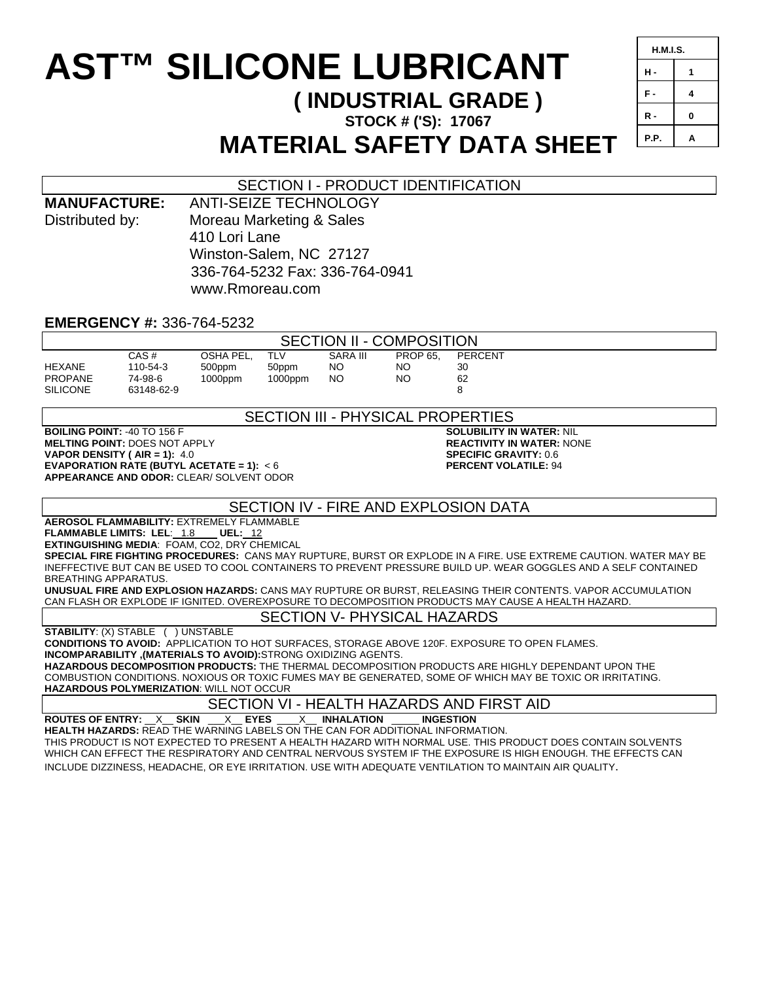# **AST™ SILICONE LUBRICANT**

# **( INDUSTRIAL GRADE )**

**STOCK # ('S): 17067** 

SECTION I - PRODUCT IDENTIFICATION

| <b>H.M.I.S.</b> |   |
|-----------------|---|
| н.              | 1 |
| F.              | 4 |
| R -             | 0 |
| P.P.            | A |

# **MATERIAL SAFETY DATA SHEET**

# Distributed by: Moreau Marketing & Sales 410 Lori Lane Winston-Salem, NC 27127 336-764-5232 Fax: 336-764-0941 www.Rmoreau.com **EMERGENCY #:** 336-764-5232 SECTION II - COMPOSITION CAS # OSHA PEL, TLV SARA III PROP 65, PERCENT<br>110-54-3 500ppm 50ppm NO NO 30 HEXANE 110-54-3 500ppm 50ppm NO NO 30 PROPANE 74-98-6 1000ppm 1000ppm NO NO 62 SILICONE 63148-62-9 8 SECTION III - PHYSICAL PROPERTIES **BOILING POINT:**  $-40$  TO 156 F **SOLUBILITY IN WATER:** NIL **MELTING POINT:** DOES NOT APPLY **REACTIVITY IN WATER:** NONE VAPOR DENSITY ( AIR = 1): 4.0 **VAPOR DENSITY ( AIR = 1):** 4.0 **SPECIFIC GRAVITY:** 0.6 **EVAPORATION RATE (BUTYL ACETATE = 1):**  $< 6$ **APPEARANCE AND ODOR:** CLEAR/ SOLVENT ODOR

# SECTION IV - FIRE AND EXPLOSION DATA

**AEROSOL FLAMMABILITY:** EXTREMELY FLAMMABLE

**FLAMMABLE LIMITS: LEL**: 1.8 **UEL:** 12 **EXTINGUISHING MEDIA**: FOAM, CO2, DRY CHEMICAL

**SPECIAL FIRE FIGHTING PROCEDURES:** CANS MAY RUPTURE, BURST OR EXPLODE IN A FIRE. USE EXTREME CAUTION. WATER MAY BE INEFFECTIVE BUT CAN BE USED TO COOL CONTAINERS TO PREVENT PRESSURE BUILD UP. WEAR GOGGLES AND A SELF CONTAINED BREATHING APPARATUS.

**UNUSUAL FIRE AND EXPLOSION HAZARDS:** CANS MAY RUPTURE OR BURST, RELEASING THEIR CONTENTS. VAPOR ACCUMULATION CAN FLASH OR EXPLODE IF IGNITED. OVEREXPOSURE TO DECOMPOSITION PRODUCTS MAY CAUSE A HEALTH HAZARD.

# SECTION V- PHYSICAL HAZARDS

**STABILITY**: (X) STABLE ( ) UNSTABLE

**CONDITIONS TO AVOID:** APPLICATION TO HOT SURFACES, STORAGE ABOVE 120F. EXPOSURE TO OPEN FLAMES.

**INCOMPARABILITY ,(MATERIALS TO AVOID):**STRONG OXIDIZING AGENTS.

**MANUFACTURE:** ANTI-SEIZE TECHNOLOGY

**HAZARDOUS DECOMPOSITION PRODUCTS:** THE THERMAL DECOMPOSITION PRODUCTS ARE HIGHLY DEPENDANT UPON THE COMBUSTION CONDITIONS. NOXIOUS OR TOXIC FUMES MAY BE GENERATED, SOME OF WHICH MAY BE TOXIC OR IRRITATING. **HAZARDOUS POLYMERIZATION**: WILL NOT OCCUR

SECTION VI - HEALTH HAZARDS AND FIRST AID

**ROUTES OF ENTRY:** \_\_X\_\_ **SKIN** \_\_\_X\_\_ **EYES** \_\_\_\_X\_\_ **INHALATION** \_\_\_\_\_ **INGESTION** 

**HEALTH HAZARDS:** READ THE WARNING LABELS ON THE CAN FOR ADDITIONAL INFORMATION. THIS PRODUCT IS NOT EXPECTED TO PRESENT A HEALTH HAZARD WITH NORMAL USE. THIS PRODUCT DOES CONTAIN SOLVENTS WHICH CAN EFFECT THE RESPIRATORY AND CENTRAL NERVOUS SYSTEM IF THE EXPOSURE IS HIGH ENOUGH. THE EFFECTS CAN INCLUDE DIZZINESS, HEADACHE, OR EYE IRRITATION. USE WITH ADEQUATE VENTILATION TO MAINTAIN AIR QUALITY.